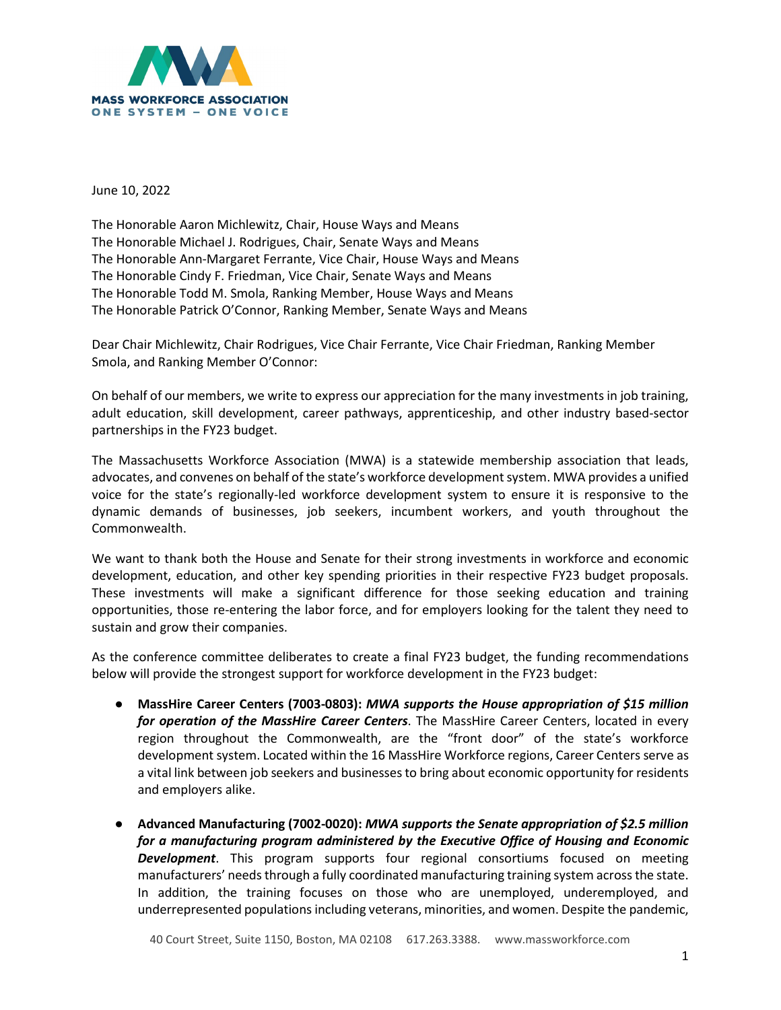

June 10, 2022

The Honorable Aaron Michlewitz, Chair, House Ways and Means The Honorable Michael J. Rodrigues, Chair, Senate Ways and Means The Honorable Ann-Margaret Ferrante, Vice Chair, House Ways and Means The Honorable Cindy F. Friedman, Vice Chair, Senate Ways and Means The Honorable Todd M. Smola, Ranking Member, House Ways and Means The Honorable Patrick O'Connor, Ranking Member, Senate Ways and Means

Dear Chair Michlewitz, Chair Rodrigues, Vice Chair Ferrante, Vice Chair Friedman, Ranking Member Smola, and Ranking Member O'Connor:

On behalf of our members, we write to express our appreciation for the many investments in job training, adult education, skill development, career pathways, apprenticeship, and other industry based-sector partnerships in the FY23 budget.

The Massachusetts Workforce Association (MWA) is a statewide membership association that leads, advocates, and convenes on behalf of the state's workforce development system. MWA provides a unified voice for the state's regionally-led workforce development system to ensure it is responsive to the dynamic demands of businesses, job seekers, incumbent workers, and youth throughout the Commonwealth.

We want to thank both the House and Senate for their strong investments in workforce and economic development, education, and other key spending priorities in their respective FY23 budget proposals. These investments will make a significant difference for those seeking education and training opportunities, those re-entering the labor force, and for employers looking for the talent they need to sustain and grow their companies.

As the conference committee deliberates to create a final FY23 budget, the funding recommendations below will provide the strongest support for workforce development in the FY23 budget:

- **MassHire Career Centers (7003-0803):** *MWA supports the House appropriation of \$15 million for operation of the MassHire Career Centers*. The MassHire Career Centers, located in every region throughout the Commonwealth, are the "front door" of the state's workforce development system. Located within the 16 MassHire Workforce regions, Career Centers serve as a vital link between job seekers and businesses to bring about economic opportunity for residents and employers alike.
- **Advanced Manufacturing (7002-0020):** *MWA supports the Senate appropriation of \$2.5 million for a manufacturing program administered by the Executive Office of Housing and Economic Development*. This program supports four regional consortiums focused on meeting manufacturers' needs through a fully coordinated manufacturing training system across the state. In addition, the training focuses on those who are unemployed, underemployed, and underrepresented populations including veterans, minorities, and women. Despite the pandemic,